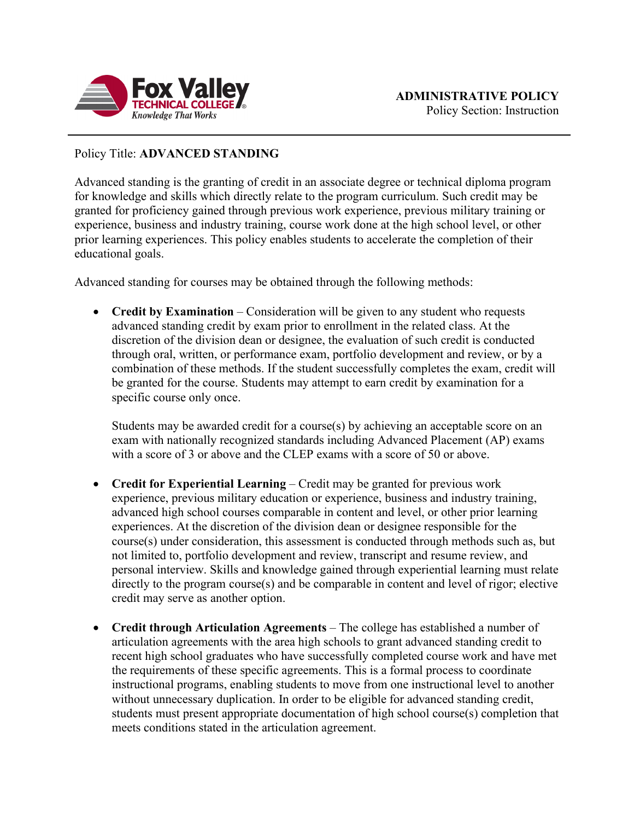

## Policy Title: **ADVANCED STANDING**

Advanced standing is the granting of credit in an associate degree or technical diploma program for knowledge and skills which directly relate to the program curriculum. Such credit may be granted for proficiency gained through previous work experience, previous military training or experience, business and industry training, course work done at the high school level, or other prior learning experiences. This policy enables students to accelerate the completion of their educational goals.

Advanced standing for courses may be obtained through the following methods:

• **Credit by Examination** – Consideration will be given to any student who requests advanced standing credit by exam prior to enrollment in the related class. At the discretion of the division dean or designee, the evaluation of such credit is conducted through oral, written, or performance exam, portfolio development and review, or by a combination of these methods. If the student successfully completes the exam, credit will be granted for the course. Students may attempt to earn credit by examination for a specific course only once.

Students may be awarded credit for a course(s) by achieving an acceptable score on an exam with nationally recognized standards including Advanced Placement (AP) exams with a score of 3 or above and the CLEP exams with a score of 50 or above.

- **Credit for Experiential Learning** Credit may be granted for previous work experience, previous military education or experience, business and industry training, advanced high school courses comparable in content and level, or other prior learning experiences. At the discretion of the division dean or designee responsible for the course(s) under consideration, this assessment is conducted through methods such as, but not limited to, portfolio development and review, transcript and resume review, and personal interview. Skills and knowledge gained through experiential learning must relate directly to the program course(s) and be comparable in content and level of rigor; elective credit may serve as another option.
- **Credit through Articulation Agreements** The college has established a number of articulation agreements with the area high schools to grant advanced standing credit to recent high school graduates who have successfully completed course work and have met the requirements of these specific agreements. This is a formal process to coordinate instructional programs, enabling students to move from one instructional level to another without unnecessary duplication. In order to be eligible for advanced standing credit, students must present appropriate documentation of high school course(s) completion that meets conditions stated in the articulation agreement.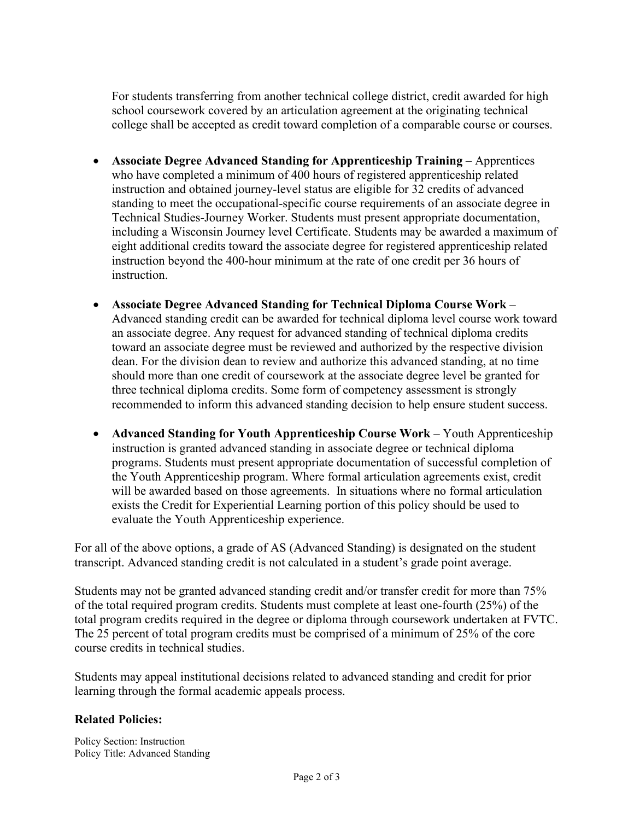For students transferring from another technical college district, credit awarded for high school coursework covered by an articulation agreement at the originating technical college shall be accepted as credit toward completion of a comparable course or courses.

- **Associate Degree Advanced Standing for Apprenticeship Training** Apprentices who have completed a minimum of 400 hours of registered apprenticeship related instruction and obtained journey-level status are eligible for 32 credits of advanced standing to meet the occupational-specific course requirements of an associate degree in Technical Studies-Journey Worker. Students must present appropriate documentation, including a Wisconsin Journey level Certificate. Students may be awarded a maximum of eight additional credits toward the associate degree for registered apprenticeship related instruction beyond the 400-hour minimum at the rate of one credit per 36 hours of instruction.
- **Associate Degree Advanced Standing for Technical Diploma Course Work**  Advanced standing credit can be awarded for technical diploma level course work toward an associate degree. Any request for advanced standing of technical diploma credits toward an associate degree must be reviewed and authorized by the respective division dean. For the division dean to review and authorize this advanced standing, at no time should more than one credit of coursework at the associate degree level be granted for three technical diploma credits. Some form of competency assessment is strongly recommended to inform this advanced standing decision to help ensure student success.
- **Advanced Standing for Youth Apprenticeship Course Work** Youth Apprenticeship instruction is granted advanced standing in associate degree or technical diploma programs. Students must present appropriate documentation of successful completion of the Youth Apprenticeship program. Where formal articulation agreements exist, credit will be awarded based on those agreements. In situations where no formal articulation exists the Credit for Experiential Learning portion of this policy should be used to evaluate the Youth Apprenticeship experience.

For all of the above options, a grade of AS (Advanced Standing) is designated on the student transcript. Advanced standing credit is not calculated in a student's grade point average.

Students may not be granted advanced standing credit and/or transfer credit for more than 75% of the total required program credits. Students must complete at least one-fourth (25%) of the total program credits required in the degree or diploma through coursework undertaken at FVTC. The 25 percent of total program credits must be comprised of a minimum of 25% of the core course credits in technical studies.

Students may appeal institutional decisions related to advanced standing and credit for prior learning through the formal academic appeals process.

## **Related Policies:**

Policy Section: Instruction Policy Title: Advanced Standing